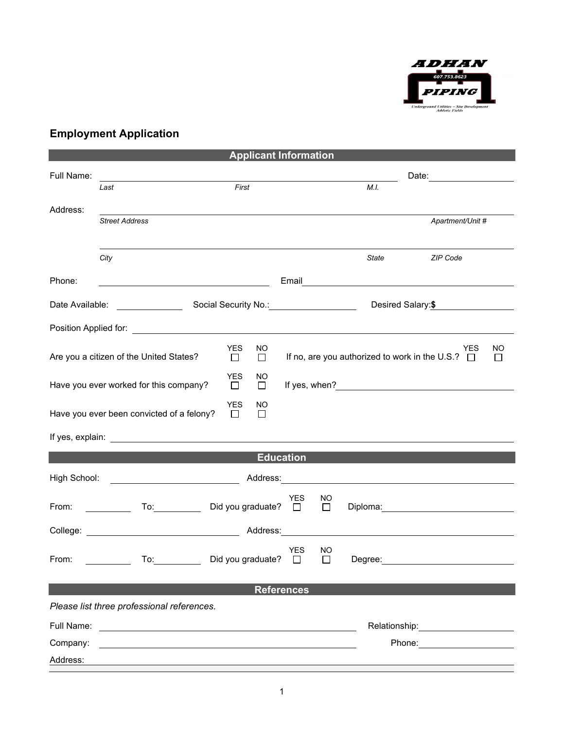

## **Employment Application**

| <b>Applicant Information</b>                                                                                         |                                                                                                                     |                         |                                       |                                   |                                     |  |  |
|----------------------------------------------------------------------------------------------------------------------|---------------------------------------------------------------------------------------------------------------------|-------------------------|---------------------------------------|-----------------------------------|-------------------------------------|--|--|
| Full Name:                                                                                                           | <u> 1980 - Johann Barn, mars eta bainar eta baina eta baina eta baina eta baina eta baina eta baina eta baina e</u> |                         |                                       | Date:                             |                                     |  |  |
|                                                                                                                      | Last                                                                                                                | First                   |                                       | M.I.                              |                                     |  |  |
| Address:                                                                                                             |                                                                                                                     |                         |                                       |                                   |                                     |  |  |
|                                                                                                                      | <b>Street Address</b>                                                                                               |                         |                                       |                                   | Apartment/Unit #                    |  |  |
|                                                                                                                      |                                                                                                                     |                         |                                       |                                   |                                     |  |  |
|                                                                                                                      | City                                                                                                                |                         |                                       | State                             | ZIP Code                            |  |  |
|                                                                                                                      |                                                                                                                     |                         |                                       |                                   |                                     |  |  |
| Phone:                                                                                                               | <u> 1989 - Johann Barn, amerikansk politiker (</u>                                                                  |                         |                                       |                                   |                                     |  |  |
|                                                                                                                      | Desired Salary:\$                                                                                                   |                         |                                       |                                   |                                     |  |  |
|                                                                                                                      |                                                                                                                     |                         |                                       |                                   |                                     |  |  |
| <b>YES</b><br>NO<br>YES                                                                                              |                                                                                                                     |                         |                                       |                                   | ΝO                                  |  |  |
| If no, are you authorized to work in the U.S.? $\Box$<br>Are you a citizen of the United States?<br>$\Box$<br>$\Box$ |                                                                                                                     |                         | $\Box$                                |                                   |                                     |  |  |
| <b>YES</b><br>NO.<br>Have you ever worked for this company?<br>$\Box$<br>$\Box$                                      |                                                                                                                     |                         |                                       |                                   |                                     |  |  |
| <b>YES</b><br>NO<br>Have you ever been convicted of a felony?<br>$\Box$<br>$\Box$                                    |                                                                                                                     |                         |                                       |                                   |                                     |  |  |
|                                                                                                                      |                                                                                                                     |                         |                                       |                                   |                                     |  |  |
| <b>Education</b>                                                                                                     |                                                                                                                     |                         |                                       |                                   |                                     |  |  |
|                                                                                                                      |                                                                                                                     |                         |                                       |                                   |                                     |  |  |
| High School:                                                                                                         |                                                                                                                     |                         |                                       |                                   |                                     |  |  |
| From:                                                                                                                |                                                                                                                     | To: Did you graduate? □ | <b>YES</b><br>NO<br>$\Box$            |                                   | Diploma: <u>___________________</u> |  |  |
|                                                                                                                      |                                                                                                                     |                         |                                       |                                   |                                     |  |  |
|                                                                                                                      |                                                                                                                     |                         |                                       |                                   |                                     |  |  |
| From:                                                                                                                | To:                                                                                                                 | Did you graduate?       | <b>YES</b><br>NO.<br>$\Box$<br>$\Box$ | Degree:                           |                                     |  |  |
|                                                                                                                      |                                                                                                                     |                         |                                       |                                   |                                     |  |  |
| <b>References</b>                                                                                                    |                                                                                                                     |                         |                                       |                                   |                                     |  |  |
| Please list three professional references.                                                                           |                                                                                                                     |                         |                                       |                                   |                                     |  |  |
| Full Name:                                                                                                           | <u> 1989 - John Stein, Amerikaansk politiker (</u>                                                                  |                         |                                       | Relationship: <b>Example 2019</b> |                                     |  |  |
| Company:                                                                                                             |                                                                                                                     |                         |                                       |                                   |                                     |  |  |
| Address:                                                                                                             |                                                                                                                     |                         |                                       |                                   |                                     |  |  |